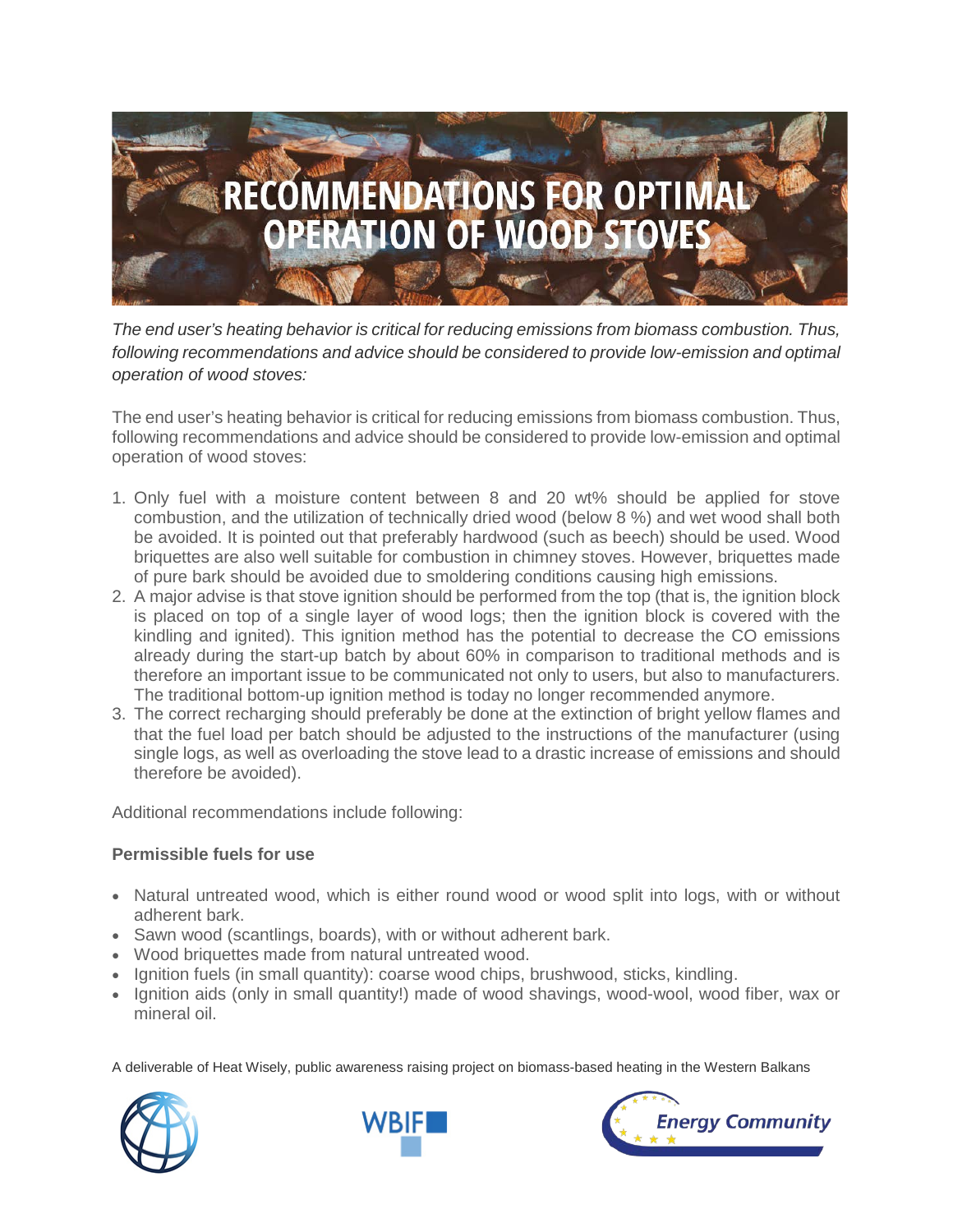

*The end user's heating behavior is critical for reducing emissions from biomass combustion. Thus, following recommendations and advice should be considered to provide low-emission and optimal operation of wood stoves:*

The end user's heating behavior is critical for reducing emissions from biomass combustion. Thus, following recommendations and advice should be considered to provide low-emission and optimal operation of wood stoves:

- 1. Only fuel with a moisture content between 8 and 20 wt% should be applied for stove combustion, and the utilization of technically dried wood (below 8 %) and wet wood shall both be avoided. It is pointed out that preferably hardwood (such as beech) should be used. Wood briquettes are also well suitable for combustion in chimney stoves. However, briquettes made of pure bark should be avoided due to smoldering conditions causing high emissions.
- 2. A major advise is that stove ignition should be performed from the top (that is, the ignition block is placed on top of a single layer of wood logs; then the ignition block is covered with the kindling and ignited). This ignition method has the potential to decrease the CO emissions already during the start-up batch by about 60% in comparison to traditional methods and is therefore an important issue to be communicated not only to users, but also to manufacturers. The traditional bottom-up ignition method is today no longer recommended anymore.
- 3. The correct recharging should preferably be done at the extinction of bright yellow flames and that the fuel load per batch should be adjusted to the instructions of the manufacturer (using single logs, as well as overloading the stove lead to a drastic increase of emissions and should therefore be avoided).

Additional recommendations include following:

#### **Permissible fuels for use**

- Natural untreated wood, which is either round wood or wood split into logs, with or without adherent bark.
- Sawn wood (scantlings, boards), with or without adherent bark.
- Wood briquettes made from natural untreated wood.
- Ignition fuels (in small quantity): coarse wood chips, brushwood, sticks, kindling.
- Ignition aids (only in small quantity!) made of wood shavings, wood-wool, wood fiber, wax or mineral oil.

A deliverable of Heat Wisely, public awareness raising project on biomass-based heating in the Western Balkans





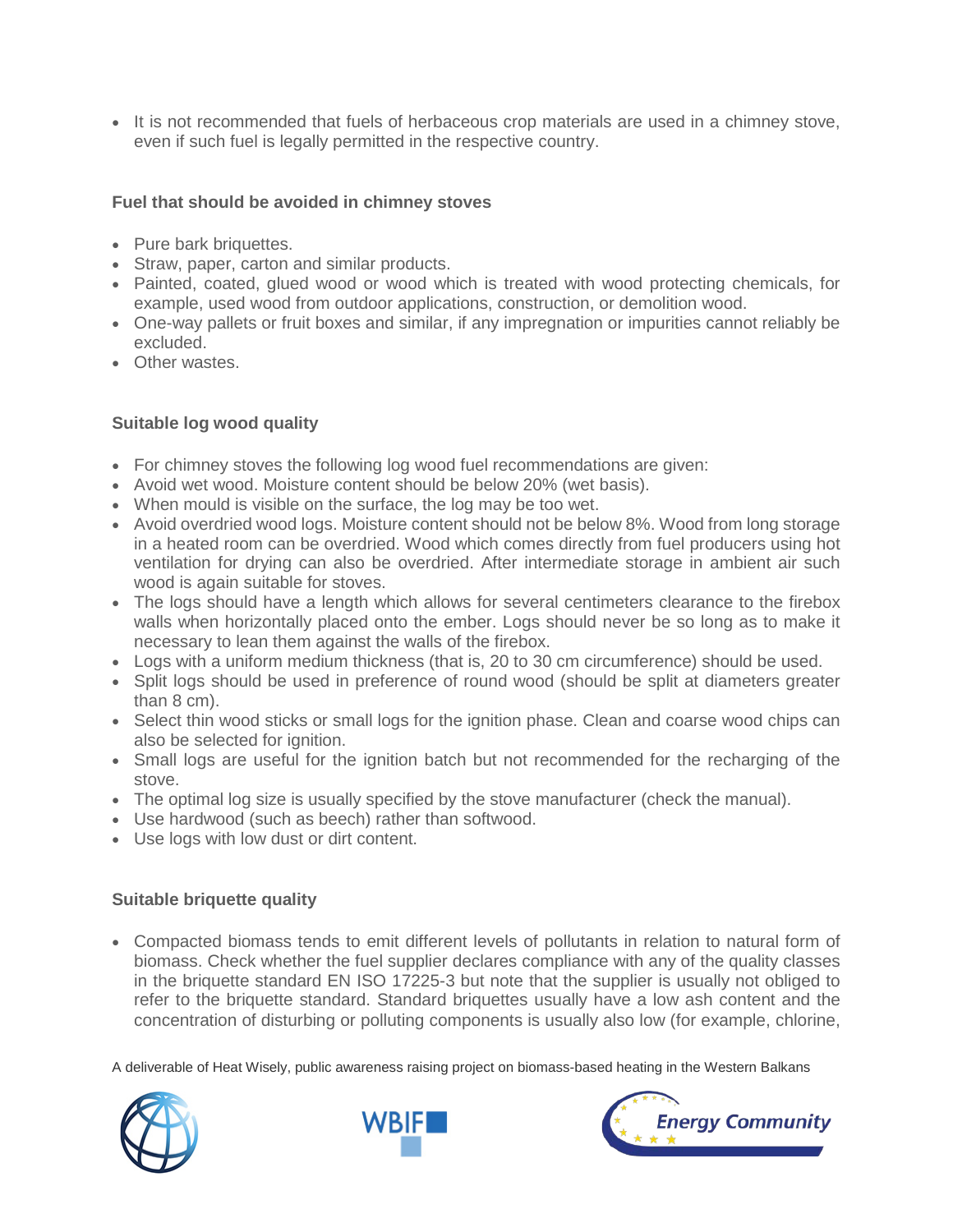• It is not recommended that fuels of herbaceous crop materials are used in a chimney stove, even if such fuel is legally permitted in the respective country.

#### **Fuel that should be avoided in chimney stoves**

- Pure bark briquettes.
- Straw, paper, carton and similar products.
- Painted, coated, glued wood or wood which is treated with wood protecting chemicals, for example, used wood from outdoor applications, construction, or demolition wood.
- One-way pallets or fruit boxes and similar, if any impregnation or impurities cannot reliably be excluded.
- Other wastes.

## **Suitable log wood quality**

- For chimney stoves the following log wood fuel recommendations are given:
- Avoid wet wood. Moisture content should be below 20% (wet basis).
- When mould is visible on the surface, the log may be too wet.
- Avoid overdried wood logs. Moisture content should not be below 8%. Wood from long storage in a heated room can be overdried. Wood which comes directly from fuel producers using hot ventilation for drying can also be overdried. After intermediate storage in ambient air such wood is again suitable for stoves.
- The logs should have a length which allows for several centimeters clearance to the firebox walls when horizontally placed onto the ember. Logs should never be so long as to make it necessary to lean them against the walls of the firebox.
- Logs with a uniform medium thickness (that is, 20 to 30 cm circumference) should be used.
- Split logs should be used in preference of round wood (should be split at diameters greater than 8 cm).
- Select thin wood sticks or small logs for the ignition phase. Clean and coarse wood chips can also be selected for ignition.
- Small logs are useful for the ignition batch but not recommended for the recharging of the stove.
- The optimal log size is usually specified by the stove manufacturer (check the manual).
- Use hardwood (such as beech) rather than softwood.
- Use logs with low dust or dirt content.

## **Suitable briquette quality**

• Compacted biomass tends to emit different levels of pollutants in relation to natural form of biomass. Check whether the fuel supplier declares compliance with any of the quality classes in the briquette standard EN ISO 17225-3 but note that the supplier is usually not obliged to refer to the briquette standard. Standard briquettes usually have a low ash content and the concentration of disturbing or polluting components is usually also low (for example, chlorine,

A deliverable of Heat Wisely, public awareness raising project on biomass-based heating in the Western Balkans